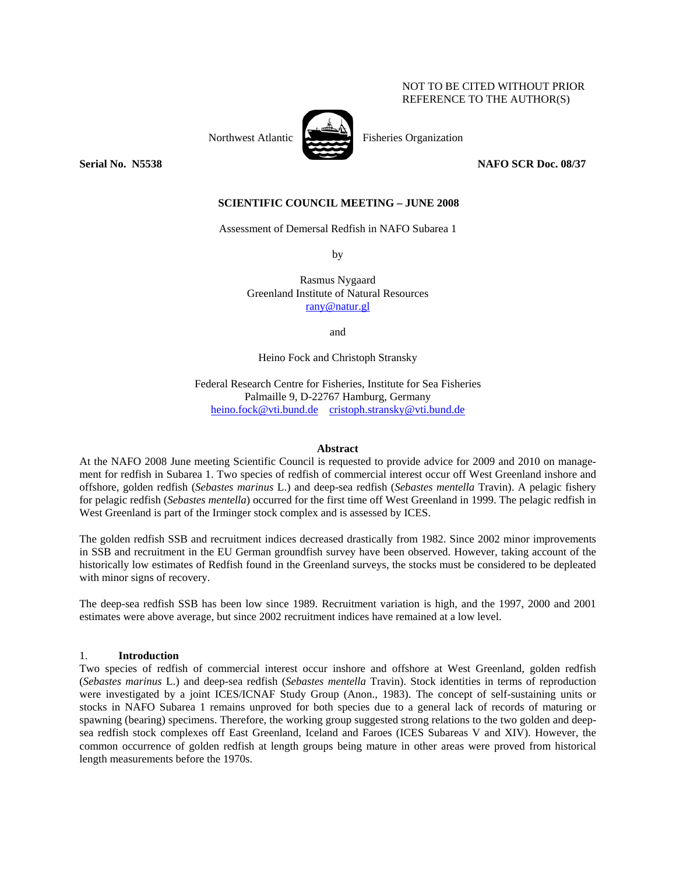### NOT TO BE CITED WITHOUT PRIOR REFERENCE TO THE AUTHOR(S)



Northwest Atlantic Fisheries Organization

**Serial No. 35538** NAFO SCR Doc. 08/37

### **SCIENTIFIC COUNCIL MEETING – JUNE 2008**

Assessment of Demersal Redfish in NAFO Subarea 1

by

Rasmus Nygaard Greenland Institute of Natural Resources rany@natur.gl

and

Heino Fock and Christoph Stransky

Federal Research Centre for Fisheries, Institute for Sea Fisheries Palmaille 9, D-22767 Hamburg, Germany heino.fock@vti.bund.de cristoph.stransky@vti.bund.de

### **Abstract**

At the NAFO 2008 June meeting Scientific Council is requested to provide advice for 2009 and 2010 on management for redfish in Subarea 1. Two species of redfish of commercial interest occur off West Greenland inshore and offshore, golden redfish (*Sebastes marinus* L.) and deep-sea redfish (*Sebastes mentella* Travin). A pelagic fishery for pelagic redfish (*Sebastes mentella*) occurred for the first time off West Greenland in 1999. The pelagic redfish in West Greenland is part of the Irminger stock complex and is assessed by ICES.

The golden redfish SSB and recruitment indices decreased drastically from 1982. Since 2002 minor improvements in SSB and recruitment in the EU German groundfish survey have been observed. However, taking account of the historically low estimates of Redfish found in the Greenland surveys, the stocks must be considered to be depleated with minor signs of recovery.

The deep-sea redfish SSB has been low since 1989. Recruitment variation is high, and the 1997, 2000 and 2001 estimates were above average, but since 2002 recruitment indices have remained at a low level.

### 1. **Introduction**

Two species of redfish of commercial interest occur inshore and offshore at West Greenland, golden redfish (*Sebastes marinus* L.) and deep-sea redfish (*Sebastes mentella* Travin). Stock identities in terms of reproduction were investigated by a joint ICES/ICNAF Study Group (Anon., 1983). The concept of self-sustaining units or stocks in NAFO Subarea 1 remains unproved for both species due to a general lack of records of maturing or spawning (bearing) specimens. Therefore, the working group suggested strong relations to the two golden and deepsea redfish stock complexes off East Greenland, Iceland and Faroes (ICES Subareas V and XIV). However, the common occurrence of golden redfish at length groups being mature in other areas were proved from historical length measurements before the 1970s.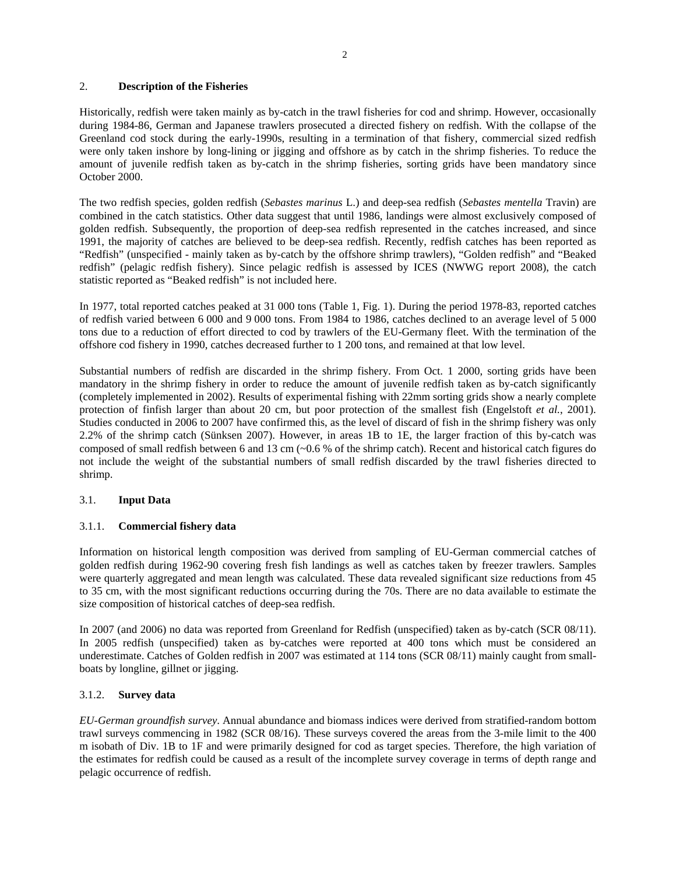### 2. **Description of the Fisheries**

Historically, redfish were taken mainly as by-catch in the trawl fisheries for cod and shrimp. However, occasionally during 1984-86, German and Japanese trawlers prosecuted a directed fishery on redfish. With the collapse of the Greenland cod stock during the early-1990s, resulting in a termination of that fishery, commercial sized redfish were only taken inshore by long-lining or jigging and offshore as by catch in the shrimp fisheries. To reduce the amount of juvenile redfish taken as by-catch in the shrimp fisheries, sorting grids have been mandatory since October 2000.

The two redfish species, golden redfish (*Sebastes marinus* L.) and deep-sea redfish (*Sebastes mentella* Travin) are combined in the catch statistics. Other data suggest that until 1986, landings were almost exclusively composed of golden redfish. Subsequently, the proportion of deep-sea redfish represented in the catches increased, and since 1991, the majority of catches are believed to be deep-sea redfish. Recently, redfish catches has been reported as "Redfish" (unspecified - mainly taken as by-catch by the offshore shrimp trawlers), "Golden redfish" and "Beaked redfish" (pelagic redfish fishery). Since pelagic redfish is assessed by ICES (NWWG report 2008), the catch statistic reported as "Beaked redfish" is not included here.

In 1977, total reported catches peaked at 31 000 tons (Table 1, Fig. 1). During the period 1978-83, reported catches of redfish varied between 6 000 and 9 000 tons. From 1984 to 1986, catches declined to an average level of 5 000 tons due to a reduction of effort directed to cod by trawlers of the EU-Germany fleet. With the termination of the offshore cod fishery in 1990, catches decreased further to 1 200 tons, and remained at that low level.

Substantial numbers of redfish are discarded in the shrimp fishery. From Oct. 1 2000, sorting grids have been mandatory in the shrimp fishery in order to reduce the amount of juvenile redfish taken as by-catch significantly (completely implemented in 2002). Results of experimental fishing with 22mm sorting grids show a nearly complete protection of finfish larger than about 20 cm, but poor protection of the smallest fish (Engelstoft *et al.*, 2001). Studies conducted in 2006 to 2007 have confirmed this, as the level of discard of fish in the shrimp fishery was only 2.2% of the shrimp catch (Sünksen 2007). However, in areas 1B to 1E, the larger fraction of this by-catch was composed of small redfish between 6 and 13 cm (~0.6 % of the shrimp catch). Recent and historical catch figures do not include the weight of the substantial numbers of small redfish discarded by the trawl fisheries directed to shrimp.

# 3.1. **Input Data**

# 3.1.1. **Commercial fishery data**

Information on historical length composition was derived from sampling of EU-German commercial catches of golden redfish during 1962-90 covering fresh fish landings as well as catches taken by freezer trawlers. Samples were quarterly aggregated and mean length was calculated. These data revealed significant size reductions from 45 to 35 cm, with the most significant reductions occurring during the 70s. There are no data available to estimate the size composition of historical catches of deep-sea redfish.

In 2007 (and 2006) no data was reported from Greenland for Redfish (unspecified) taken as by-catch (SCR 08/11). In 2005 redfish (unspecified) taken as by-catches were reported at 400 tons which must be considered an underestimate. Catches of Golden redfish in 2007 was estimated at 114 tons (SCR 08/11) mainly caught from smallboats by longline, gillnet or jigging.

# 3.1.2. **Survey data**

*EU-German groundfish survey*. Annual abundance and biomass indices were derived from stratified-random bottom trawl surveys commencing in 1982 (SCR 08/16). These surveys covered the areas from the 3-mile limit to the 400 m isobath of Div. 1B to 1F and were primarily designed for cod as target species. Therefore, the high variation of the estimates for redfish could be caused as a result of the incomplete survey coverage in terms of depth range and pelagic occurrence of redfish.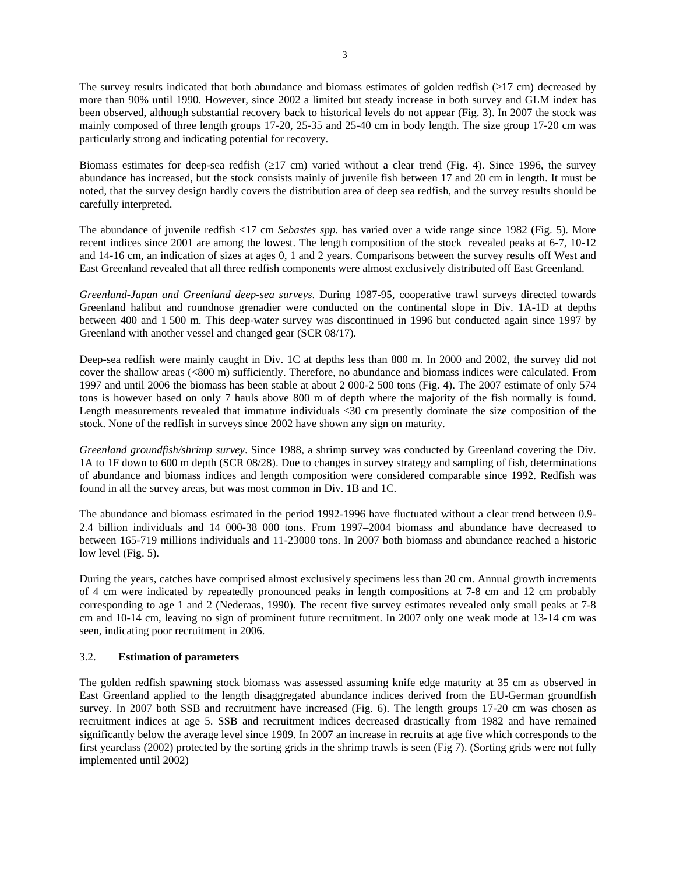The survey results indicated that both abundance and biomass estimates of golden redfish (≥17 cm) decreased by more than 90% until 1990. However, since 2002 a limited but steady increase in both survey and GLM index has been observed, although substantial recovery back to historical levels do not appear (Fig. 3). In 2007 the stock was mainly composed of three length groups 17-20, 25-35 and 25-40 cm in body length. The size group 17-20 cm was particularly strong and indicating potential for recovery.

Biomass estimates for deep-sea redfish ( $\geq$ 17 cm) varied without a clear trend (Fig. 4). Since 1996, the survey abundance has increased, but the stock consists mainly of juvenile fish between 17 and 20 cm in length. It must be noted, that the survey design hardly covers the distribution area of deep sea redfish, and the survey results should be carefully interpreted.

The abundance of juvenile redfish <17 cm *Sebastes spp.* has varied over a wide range since 1982 (Fig. 5). More recent indices since 2001 are among the lowest. The length composition of the stock revealed peaks at 6-7, 10-12 and 14-16 cm, an indication of sizes at ages 0, 1 and 2 years. Comparisons between the survey results off West and East Greenland revealed that all three redfish components were almost exclusively distributed off East Greenland.

*Greenland-Japan and Greenland deep-sea surveys*. During 1987-95, cooperative trawl surveys directed towards Greenland halibut and roundnose grenadier were conducted on the continental slope in Div. 1A-1D at depths between 400 and 1 500 m. This deep-water survey was discontinued in 1996 but conducted again since 1997 by Greenland with another vessel and changed gear (SCR 08/17).

Deep-sea redfish were mainly caught in Div. 1C at depths less than 800 m. In 2000 and 2002, the survey did not cover the shallow areas (<800 m) sufficiently. Therefore, no abundance and biomass indices were calculated. From 1997 and until 2006 the biomass has been stable at about 2 000-2 500 tons (Fig. 4). The 2007 estimate of only 574 tons is however based on only 7 hauls above 800 m of depth where the majority of the fish normally is found. Length measurements revealed that immature individuals <30 cm presently dominate the size composition of the stock. None of the redfish in surveys since 2002 have shown any sign on maturity.

*Greenland groundfish/shrimp survey*. Since 1988, a shrimp survey was conducted by Greenland covering the Div. 1A to 1F down to 600 m depth (SCR 08/28). Due to changes in survey strategy and sampling of fish, determinations of abundance and biomass indices and length composition were considered comparable since 1992. Redfish was found in all the survey areas, but was most common in Div. 1B and 1C.

The abundance and biomass estimated in the period 1992-1996 have fluctuated without a clear trend between 0.9- 2.4 billion individuals and 14 000-38 000 tons. From 1997–2004 biomass and abundance have decreased to between 165-719 millions individuals and 11-23000 tons. In 2007 both biomass and abundance reached a historic low level (Fig. 5).

During the years, catches have comprised almost exclusively specimens less than 20 cm. Annual growth increments of 4 cm were indicated by repeatedly pronounced peaks in length compositions at 7-8 cm and 12 cm probably corresponding to age 1 and 2 (Nederaas, 1990). The recent five survey estimates revealed only small peaks at 7-8 cm and 10-14 cm, leaving no sign of prominent future recruitment. In 2007 only one weak mode at 13-14 cm was seen, indicating poor recruitment in 2006.

# 3.2. **Estimation of parameters**

The golden redfish spawning stock biomass was assessed assuming knife edge maturity at 35 cm as observed in East Greenland applied to the length disaggregated abundance indices derived from the EU-German groundfish survey. In 2007 both SSB and recruitment have increased (Fig. 6). The length groups 17-20 cm was chosen as recruitment indices at age 5. SSB and recruitment indices decreased drastically from 1982 and have remained significantly below the average level since 1989. In 2007 an increase in recruits at age five which corresponds to the first yearclass (2002) protected by the sorting grids in the shrimp trawls is seen (Fig 7). (Sorting grids were not fully implemented until 2002)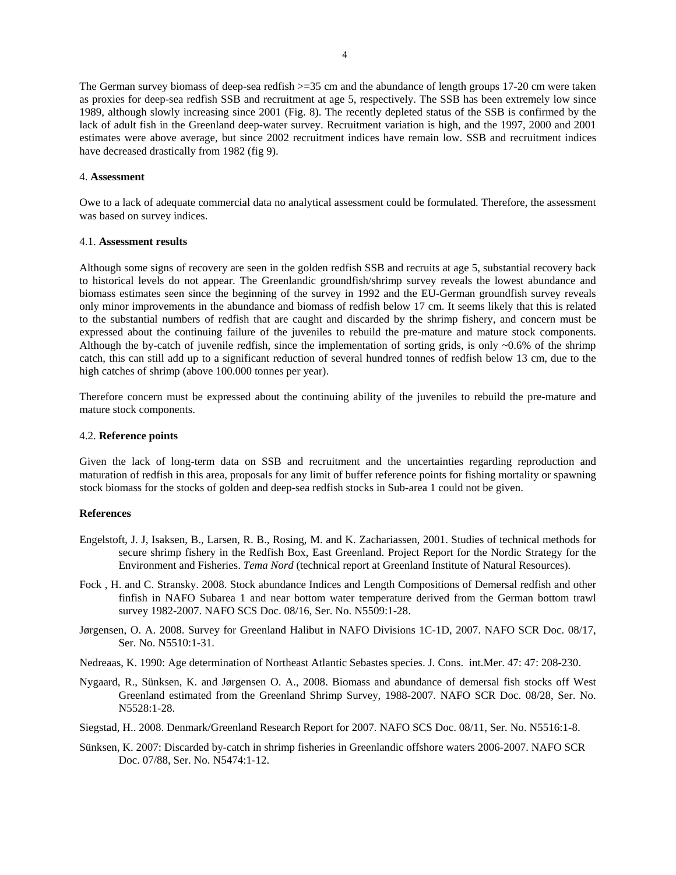The German survey biomass of deep-sea redfish >=35 cm and the abundance of length groups 17-20 cm were taken as proxies for deep-sea redfish SSB and recruitment at age 5, respectively. The SSB has been extremely low since 1989, although slowly increasing since 2001 (Fig. 8). The recently depleted status of the SSB is confirmed by the lack of adult fish in the Greenland deep-water survey. Recruitment variation is high, and the 1997, 2000 and 2001 estimates were above average, but since 2002 recruitment indices have remain low. SSB and recruitment indices have decreased drastically from 1982 (fig 9).

### 4. **Assessment**

Owe to a lack of adequate commercial data no analytical assessment could be formulated. Therefore, the assessment was based on survey indices.

#### 4.1. **Assessment results**

Although some signs of recovery are seen in the golden redfish SSB and recruits at age 5, substantial recovery back to historical levels do not appear. The Greenlandic groundfish/shrimp survey reveals the lowest abundance and biomass estimates seen since the beginning of the survey in 1992 and the EU-German groundfish survey reveals only minor improvements in the abundance and biomass of redfish below 17 cm. It seems likely that this is related to the substantial numbers of redfish that are caught and discarded by the shrimp fishery, and concern must be expressed about the continuing failure of the juveniles to rebuild the pre-mature and mature stock components. Although the by-catch of juvenile redfish, since the implementation of sorting grids, is only  $\sim 0.6\%$  of the shrimp catch, this can still add up to a significant reduction of several hundred tonnes of redfish below 13 cm, due to the high catches of shrimp (above 100.000 tonnes per year).

Therefore concern must be expressed about the continuing ability of the juveniles to rebuild the pre-mature and mature stock components.

### 4.2. **Reference points**

Given the lack of long-term data on SSB and recruitment and the uncertainties regarding reproduction and maturation of redfish in this area, proposals for any limit of buffer reference points for fishing mortality or spawning stock biomass for the stocks of golden and deep-sea redfish stocks in Sub-area 1 could not be given.

### **References**

- Engelstoft, J. J, Isaksen, B., Larsen, R. B., Rosing, M. and K. Zachariassen, 2001. Studies of technical methods for secure shrimp fishery in the Redfish Box, East Greenland. Project Report for the Nordic Strategy for the Environment and Fisheries. *Tema Nord* (technical report at Greenland Institute of Natural Resources).
- Fock , H. and C. Stransky. 2008. Stock abundance Indices and Length Compositions of Demersal redfish and other finfish in NAFO Subarea 1 and near bottom water temperature derived from the German bottom trawl survey 1982-2007. NAFO SCS Doc. 08/16, Ser. No. N5509:1-28.
- Jørgensen, O. A. 2008. Survey for Greenland Halibut in NAFO Divisions 1C-1D, 2007. NAFO SCR Doc. 08/17, Ser. No. N5510:1-31.
- Nedreaas, K. 1990: Age determination of Northeast Atlantic Sebastes species. J. Cons. int.Mer. 47: 47: 208-230.
- Nygaard, R., Sünksen, K. and Jørgensen O. A., 2008. Biomass and abundance of demersal fish stocks off West Greenland estimated from the Greenland Shrimp Survey, 1988-2007. NAFO SCR Doc. 08/28, Ser. No. N5528:1-28.
- Siegstad, H.. 2008. Denmark/Greenland Research Report for 2007. NAFO SCS Doc. 08/11, Ser. No. N5516:1-8.
- Sünksen, K. 2007: Discarded by-catch in shrimp fisheries in Greenlandic offshore waters 2006-2007. NAFO SCR Doc. 07/88, Ser. No. N5474:1-12.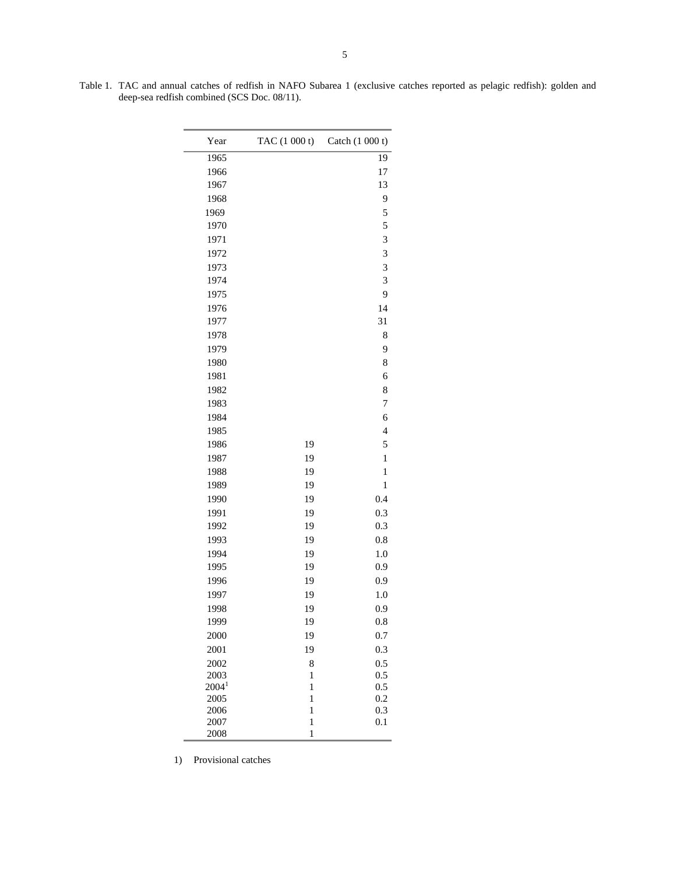Table 1. TAC and annual catches of redfish in NAFO Subarea 1 (exclusive catches reported as pelagic redfish): golden and deep-sea redfish combined (SCS Doc. 08/11).

| Year         | TAC (1 000 t)                | Catch (1 000 t)          |
|--------------|------------------------------|--------------------------|
| 1965         |                              | 19                       |
| 1966         |                              | 17                       |
| 1967         |                              | 13                       |
| 1968         |                              | 9                        |
| 1969         |                              | 5                        |
| 1970         |                              | 5                        |
| 1971         |                              | 3                        |
| 1972         |                              | 3                        |
| 1973         |                              | 3                        |
| 1974         |                              | 3                        |
| 1975         |                              | 9                        |
| 1976         |                              | 14                       |
| 1977         |                              | 31                       |
| 1978         |                              | 8                        |
| 1979         |                              | 9                        |
| 1980         |                              | 8                        |
| 1981         |                              | 6                        |
| 1982         |                              | 8                        |
| 1983         |                              | $\overline{7}$           |
| 1984         |                              | 6                        |
| 1985         |                              | $\overline{\mathcal{L}}$ |
| 1986         | 19                           | 5                        |
| 1987         | 19                           | $\mathbf{1}$             |
| 1988         | 19                           | $\mathbf{1}$             |
| 1989         | 19                           | $\mathbf{1}$             |
| 1990         | 19                           | 0.4                      |
| 1991         | 19                           | 0.3                      |
| 1992         | 19                           | 0.3                      |
| 1993         | 19                           | 0.8                      |
| 1994         | 19                           | 1.0                      |
| 1995         | 19                           | 0.9                      |
| 1996         | 19                           | 0.9                      |
| 1997         | 19                           | 1.0                      |
| 1998         | 19                           | 0.9                      |
| 1999         | 19                           | $_{0.8}$                 |
| 2000         | 19                           | 0.7                      |
| 2001         | 19                           | 0.3                      |
| 2002         | 8                            | 0.5                      |
| 2003         | $\mathbf{1}$                 | 0.5                      |
| $2004^1$     | $\mathbf{1}$                 | 0.5                      |
| 2005<br>2006 | $\mathbf{1}$<br>$\mathbf{1}$ | 0.2<br>0.3               |
| 2007         | $\mathbf{1}$                 | 0.1                      |
| 2008         | $\mathbf{1}$                 |                          |

1) Provisional catches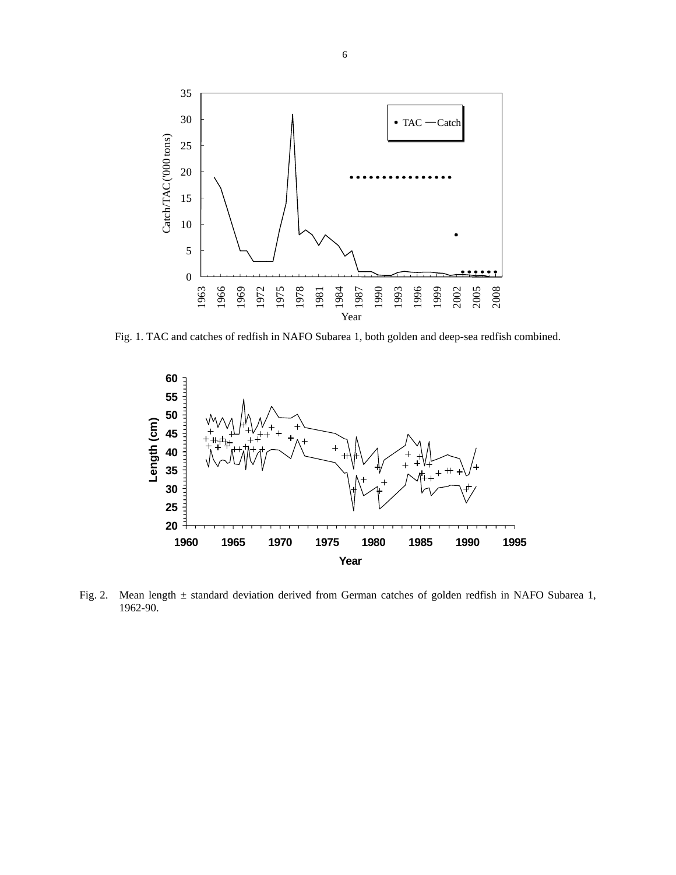

Fig. 1. TAC and catches of redfish in NAFO Subarea 1, both golden and deep-sea redfish combined.



Fig. 2. Mean length ± standard deviation derived from German catches of golden redfish in NAFO Subarea 1, 1962-90.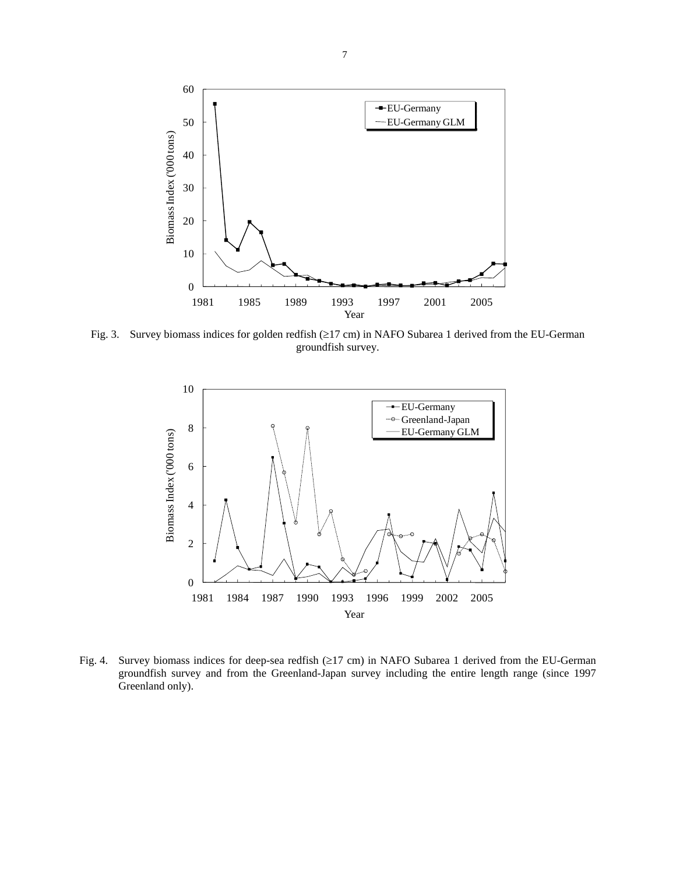

Fig. 3. Survey biomass indices for golden redfish (≥17 cm) in NAFO Subarea 1 derived from the EU-German groundfish survey.



Fig. 4. Survey biomass indices for deep-sea redfish (≥17 cm) in NAFO Subarea 1 derived from the EU-German groundfish survey and from the Greenland-Japan survey including the entire length range (since 1997 Greenland only).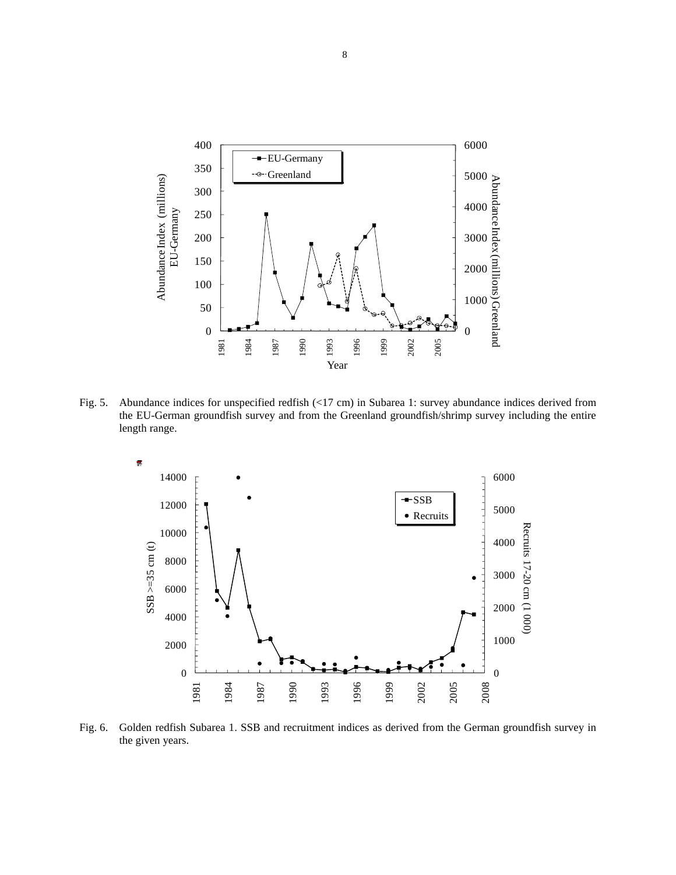

Fig. 5. Abundance indices for unspecified redfish (<17 cm) in Subarea 1: survey abundance indices derived from the EU-German groundfish survey and from the Greenland groundfish/shrimp survey including the entire length range.



Fig. 6. Golden redfish Subarea 1. SSB and recruitment indices as derived from the German groundfish survey in the given years.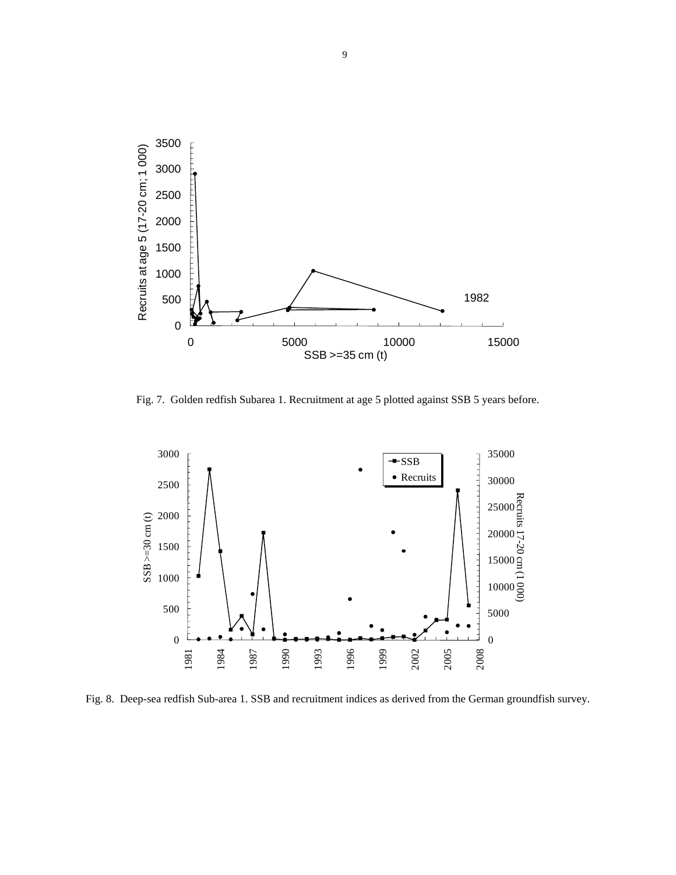

Fig. 7. Golden redfish Subarea 1. Recruitment at age 5 plotted against SSB 5 years before.



Fig. 8. Deep-sea redfish Sub-area 1. SSB and recruitment indices as derived from the German groundfish survey.